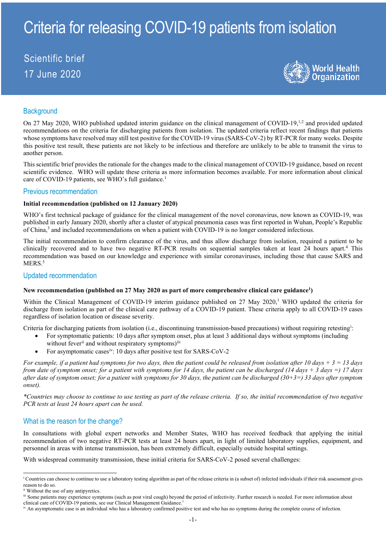# Criteria for releasing COVID-19 patients from isolation

# Scientific brief 17 June 2020



# **Background**

On 27 May 2020, WHO published updated interim guidance on the clinical management of COVID-19,<sup>1,2</sup> and provided updated recommendations on the criteria for discharging patients from isolation. The updated criteria reflect recent findings that patients whose symptoms have resolved may still test positive for the COVID-19 virus (SARS-CoV-2) by RT-PCR for many weeks. Despite this positive test result, these patients are not likely to be infectious and therefore are unlikely to be able to transmit the virus to another person.

This scientific brief provides the rationale for the changes made to the clinical management of COVID-19 guidance, based on recent scientific evidence. WHO will update these criteria as more information becomes available. For more information about clinical care of COVID-19 patients, see WHO's full guidance.<sup>1</sup>

#### Previous recommendation

#### **Initial recommendation (published on 12 January 2020)**

WHO's first technical package of guidance for the clinical management of the novel coronavirus, now known as COVID-19, was published in early January 2020, shortly after a cluster of atypical pneumonia cases was first reported in Wuhan, People's Republic of China, <sup>3</sup> and included recommendations on when a patient with COVID-19 is no longer considered infectious.

The initial recommendation to confirm clearance of the virus, and thus allow discharge from isolation, required a patient to be clinically recovered and to have two negative RT-PCR results on sequential samples taken at least 24 hours apart.4 This recommendation was based on our knowledge and experience with similar coronaviruses, including those that cause SARS and MERS.<sup>5</sup>

#### Updated recommendation

#### New recommendation (published on 27 May 2020 as part of more comprehensive clinical care guidance<sup>1</sup>)

Within the Clinical Management of COVID-19 interim guidance published on 27 May 2020,<sup>1</sup> WHO updated the criteria for discharge from isolation as part of the clinical care pathway of a COVID-19 patient. These criteria apply to all COVID-19 cases regardless of isolation location or disease severity.

Cr[i](#page-0-0)teria for discharging patients from isolation (i.e., discontinuing transmission-based precautions) without requiring retesting<sup>i</sup>:

- For symptomatic patients: 10 days after symptom onset, plus at least 3 additional days without symptoms (including
- without fever<sup>[ii](#page-0-1)</sup> and without respiratory symptoms)<sup>[iii](#page-0-2)</sup>
- For asymptomatic cases[iv:](#page-0-3) 10 days after positive test for SARS-CoV-2

*For example, if a patient had symptoms for two days, then the patient could be released from isolation after 10 days + 3 = 13 days from date of symptom onset; for a patient with symptoms for 14 days, the patient can be discharged (14 days + 3 days =) 17 days after date of symptom onset; for a patient with symptoms for 30 days, the patient can be discharged (30+3=) 33 days after symptom onset).* 

*\*Countries may choose to continue to use testing as part of the release criteria. If so, the initial recommendation of two negative PCR tests at least 24 hours apart can be used.* 

## What is the reason for the change?

In consultations with global expert networks and Member States, WHO has received feedback that applying the initial recommendation of two negative RT-PCR tests at least 24 hours apart, in light of limited laboratory supplies, equipment, and personnel in areas with intense transmission, has been extremely difficult, especially outside hospital settings.

With widespread community transmission, these initial criteria for SARS-CoV-2 posed several challenges:

<span id="page-0-0"></span><sup>&</sup>lt;sup>i</sup> Countries can choose to continue to use a laboratory testing algorithm as part of the release criteria in (a subset of) infected individuals if their risk assessment gives reason to do so.

<span id="page-0-1"></span>ii Without the use of any antipyretics.

<span id="page-0-2"></span>iii Some patients may experience symptoms (such as post viral cough) beyond the period of infectivity. Further research is needed. For more information about clinical care of COVID-19 patients, see our Clinical Management Guidance.<sup>1</sup>

<span id="page-0-3"></span>iv An asymptomatic case is an individual who has a laboratory confirmed positive test and who has no symptoms during the complete course of infection.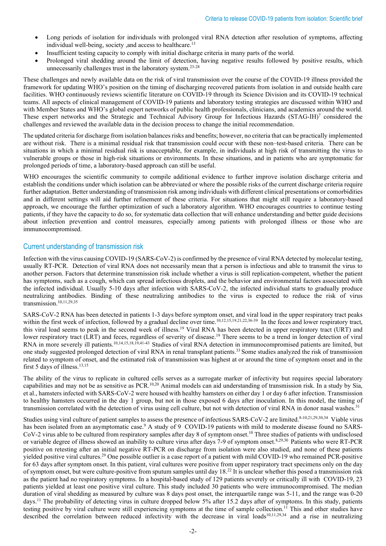- Long periods of isolation for individuals with prolonged viral RNA detection after resolution of symptoms, affecting individual well-being, society , and access to healthcare.<sup>13</sup>
- Insufficient testing capacity to comply with initial discharge criteria in many parts of the world.
- Prolonged viral shedding around the limit of detection, having negative results followed by positive results, which unnecessarily challenges trust in the laboratory system.23-28

These challenges and newly available data on the risk of viral transmission over the course of the COVID-19 illness provided the framework for updating WHO's position on the timing of discharging recovered patients from isolation in and outside health care facilities. WHO continuously reviews scientific literature on COVID-19 through its Science Division and its COVID-19 technical teams. All aspects of clinical management of COVID-19 patients and laboratory testing strategies are discussed within WHO and with Member States and WHO's global expert networks of public health professionals, clinicians, and academics around the world. These expert networks and the Strategic and Technical Advisory Group for Infectious Hazards (STAG-IH)<sup>7</sup> considered the challenges and reviewed the available data in the decision process to change the initial recommendation.

The updated criteria for discharge from isolation balances risks and benefits; however, no criteria that can be practically implemented are without risk. There is a minimal residual risk that transmission could occur with these non–test-based criteria. There can be situations in which a minimal residual risk is unacceptable, for example, in individuals at high risk of transmitting the virus to vulnerable groups or those in high-risk situations or environments. In these situations, and in patients who are symptomatic for prolonged periods of time, a laboratory-based approach can still be useful.

WHO encourages the scientific community to compile additional evidence to further improve isolation discharge criteria and establish the conditions under which isolation can be abbreviated or where the possible risks of the current discharge criteria require further adaptation. Better understanding of transmission risk among individuals with different clinical presentations or comorbidities and in different settings will aid further refinement of these criteria. For situations that might still require a laboratory-based approach, we encourage the further optimization of such a laboratory algorithm. WHO encourages countries to continue testing patients, if they have the capacity to do so, for systematic data collection that will enhance understanding and better guide decisions about infection prevention and control measures, especially among patients with prolonged illness or those who are immunocompromised.

# Current understanding of transmission risk

Infection with the virus causing COVID-19 (SARS-CoV-2) is confirmed by the presence of viral RNA detected by molecular testing, usually RT-PCR. Detection of viral RNA does not necessarily mean that a person is infectious and able to transmit the virus to another person. Factors that determine transmission risk include whether a virus is still replication-competent, whether the patient has symptoms, such as a cough, which can spread infectious droplets, and the behavior and environmental factors associated with the infected individual. Usually 5-10 days after infection with SARS-CoV-2, the infected individual starts to gradually produce neutralizing antibodies. Binding of these neutralizing antibodies to the virus is expected to reduce the risk of virus transmission. 10,11,29,35

SARS-CoV-2 RNA has been detected in patients 1-3 days before symptom onset, and viral load in the upper respiratory tract peaks within the first week of infection, followed by a gradual decline over time.<sup>10,12,15,19,21,22,36-39</sup> In the feces and lower respiratory tract, this viral load seems to peak in the second week of illness.19 Viral RNA has been detected in upper respiratory tract (URT) and lower respiratory tract (LRT) and feces, regardless of severity of disease.<sup>19</sup> There seems to be a trend in longer detection of viral RNA in more severely ill patients.<sup>10,14,15,18,19,41-43</sup> Studies of viral RNA detection in immunocompromised patients are limited, but one study suggested prolonged detection of viral RNA in renal transplant patients. 33 Some studies analyzed the risk of transmission related to symptom of onset, and the estimated risk of transmission was highest at or around the time of symptom onset and in the first 5 days of illness. 13,15

The ability of the virus to replicate in cultured cells serves as a surrogate marker of infectivity but requires special laboratory capabilities and may not be as sensitive as PCR.<sup>10,20</sup> Animal models can aid understanding of transmission risk. In a study by Sia, et al., hamsters infected with SARS-CoV-2 were housed with healthy hamsters on either day 1 or day 6 after infection. Transmission to healthy hamsters occurred in the day 1 group, but not in those exposed 6 days after inoculation. In this model, the timing of transmission correlated with the detection of virus using cell culture, but not with detection of viral RNA in donor nasal washes.<sup>31</sup>

Studies using viral culture of patient samples to assess the presence of infectious SARS-CoV-2 are limited.8-10,21,29,30,34 Viable virus has been isolated from an asymptomatic case.<sup>9</sup> A study of 9 COVID-19 patients with mild to moderate disease found no SARS-CoV-2 virus able to be cultured from respiratory samples after day 8 of symptom onset.<sup>10</sup> Three studies of patients with undisclosed or variable degree of illness showed an inability to culture virus after days 7-9 of symptom onset.<sup>8,29,30</sup> Patients who were RT-PCR positive on retesting after an initial negative RT-PCR on discharge from isolation were also studied, and none of these patients yielded positive viral cultures.29 One possible outlier is a case report of a patient with mild COVID-19 who remained PCR-positive for 63 days after symptom onset. In this patient, viral cultures were positive from upper respiratory tract specimens only on the day of symptom onset, but were culture-positive from sputum samples until day 18.<sup>22</sup> It is unclear whether this posed a transmission risk as the patient had no respiratory symptoms. In a hospital-based study of 129 patients severely or critically ill with COVID-19, 23 patients yielded at least one positive viral culture. This study included 30 patients who were immunocompromised. The median duration of viral shedding as measured by culture was 8 days post onset, the interquartile range was 5-11, and the range was 0-20 days.<sup>11</sup> The probability of detecting virus in culture dropped below 5% after 15.2 days after of symptoms. In this study, patients testing positive by viral culture were still experiencing symptoms at the time of sample collection.<sup>11</sup> This and other studies have described the correlation between reduced infectivity with the decrease in viral loads<sup>10,11,29,34</sup> and a rise in neutralizing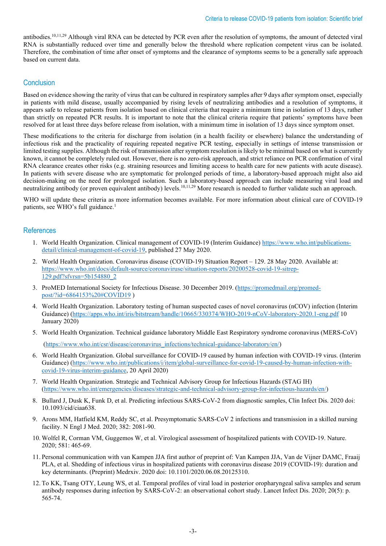antibodies.<sup>10,11,29</sup> Although viral RNA can be detected by PCR even after the resolution of symptoms, the amount of detected viral RNA is substantially reduced over time and generally below the threshold where replication competent virus can be isolated. Therefore, the combination of time after onset of symptoms and the clearance of symptoms seems to be a generally safe approach based on current data.

# Conclusion

Based on evidence showing the rarity of virus that can be cultured in respiratory samples after 9 days after symptom onset, especially in patients with mild disease, usually accompanied by rising levels of neutralizing antibodies and a resolution of symptoms, it appears safe to release patients from isolation based on clinical criteria that require a minimum time in isolation of 13 days, rather than strictly on repeated PCR results. It is important to note that the clinical criteria require that patients' symptoms have been resolved for at least three days before release from isolation, with a minimum time in isolation of 13 days since symptom onset.

These modifications to the criteria for discharge from isolation (in a health facility or elsewhere) balance the understanding of infectious risk and the practicality of requiring repeated negative PCR testing, especially in settings of intense transmission or limited testing supplies. Although the risk of transmission after symptom resolution is likely to be minimal based on what is currently known, it cannot be completely ruled out. However, there is no zero-risk approach, and strict reliance on PCR confirmation of viral RNA clearance creates other risks (e.g. straining resources and limiting access to health care for new patients with acute disease). In patients with severe disease who are symptomatic for prolonged periods of time, a laboratory-based approach might also aid decision-making on the need for prolonged isolation. Such a laboratory-based approach can include measuring viral load and neutralizing antibody (or proven equivalent antibody) levels.<sup>10,11,29</sup> More research is needed to further validate such an approach.

WHO will update these criteria as more information becomes available. For more information about clinical care of COVID-19 patients, see WHO's full guidance.<sup>1</sup>

## **References**

- 1. World Health Organization. Clinical management of COVID-19 (Interim Guidance) [https://www.who.int/publications](https://www.who.int/publications-detail/clinical-management-of-covid-19)[detail/clinical-management-of-covid-19,](https://www.who.int/publications-detail/clinical-management-of-covid-19) published 27 May 2020.
- 2. World Health Organization. Coronavirus disease (COVID-19) Situation Report 129. 28 May 2020. Available at: [https://www.who.int/docs/default-source/coronaviruse/situation-reports/20200528-covid-19-sitrep-](https://www.who.int/docs/default-source/coronaviruse/situation-reports/20200528-covid-19-sitrep-129.pdf?sfvrsn=5b154880_2)[129.pdf?sfvrsn=5b154880\\_2](https://www.who.int/docs/default-source/coronaviruse/situation-reports/20200528-covid-19-sitrep-129.pdf?sfvrsn=5b154880_2)
- 3. ProMED International Society for Infectious Disease. 30 December 2019. [\(https://promedmail.org/promed](https://promedmail.org/promed-post/?id=6864153%20#COVID19)[post/?id=6864153%20#COVID19](https://promedmail.org/promed-post/?id=6864153%20#COVID19) )
- 4. World Health Organization. Laboratory testing of human suspected cases of novel coronavirus (nCOV) infection (Interim Guidance) [\(https://apps.who.int/iris/bitstream/handle/10665/330374/WHO-2019-nCoV-laboratory-2020.1-eng.pdf](https://apps.who.int/iris/bitstream/handle/10665/330374/WHO-2019-nCoV-laboratory-2020.1-eng.pdf) 10 January 2020)
- 5. World Health Organization. Technical guidance laboratory Middle East Respiratory syndrome coronavirus (MERS-CoV) [\(https://www.who.int/csr/disease/coronavirus\\_infections/technical-guidance-laboratory/en/\)](https://www.who.int/csr/disease/coronavirus_infections/technical-guidance-laboratory/en/)
- 6. World Health Organization. Global surveillance for COVID-19 caused by human infection with COVID-19 virus. (Interim Guidance) [\(https://www.who.int/publications/i/item/global-surveillance-for-covid-19-caused-by-human-infection-with](https://www.who.int/publications/i/item/global-surveillance-for-covid-19-caused-by-human-infection-with-covid-19-virus-interim-guidance)[covid-19-virus-interim-guidance,](https://www.who.int/publications/i/item/global-surveillance-for-covid-19-caused-by-human-infection-with-covid-19-virus-interim-guidance) 20 April 2020)
- 7. World Health Organization. Strategic and Technical Advisory Group for Infectious Hazards (STAG IH) [\(https://www.who.int/emergencies/diseases/strategic-and-technical-advisory-group-for-infectious-hazards/en/\)](https://www.who.int/emergencies/diseases/strategic-and-technical-advisory-group-for-infectious-hazards/en/)
- 8. Bullard J, Dusk K, Funk D, et al. Predicting infectious SARS-CoV-2 from diagnostic samples, Clin Infect Dis. 2020 doi: 10.1093/cid/ciaa638.
- 9. Arons MM, Hatfield KM, Reddy SC, et al. Presymptomatic SARS-CoV 2 infections and transmission in a skilled nursing facility. N Engl J Med. 2020; 382: 2081-90.
- 10. Wolfel R, Corman VM, Guggemos W, et al. Virological assessment of hospitalized patients with COVID-19. Nature. 2020; 581: 465-69.
- 11. Personal communication with van Kampen JJA first author of preprint of: Van Kampen JJA, Van de Vijner DAMC, Fraaij PLA, et al. Shedding of infectious virus in hospitalized patients with coronavirus disease 2019 (COVID-19): duration and key determinants. (Preprint) Medrxiv. 2020 doi: 10.1101/2020.06.08.20125310.
- 12. To KK, Tsang OTY, Leung WS, et al. Temporal profiles of viral load in posterior oropharyngeal saliva samples and serum antibody responses during infection by SARS-CoV-2: an observational cohort study. Lancet Infect Dis. 2020; 20(5): p. 565-74.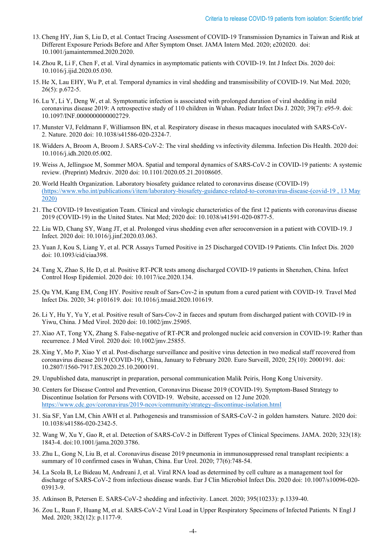- 13. Cheng HY, Jian S, Liu D, et al. Contact Tracing Assessment of COVID-19 Transmission Dynamics in Taiwan and Risk at Different Exposure Periods Before and After Symptom Onset. JAMA Intern Med. 2020; e202020. doi: 10.1001/jamainternmed.2020.2020.
- 14. Zhou R, Li F, Chen F, et al. Viral dynamics in asymptomatic patients with COVID-19. Int J Infect Dis. 2020 doi: 10.1016/j.ijid.2020.05.030.
- 15. He X, Lau EHY, Wu P, et al. Temporal dynamics in viral shedding and transmissibility of COVID-19. Nat Med. 2020; 26(5): p.672-5.
- 16. Lu Y, Li Y, Deng W, et al. Symptomatic infection is associated with prolonged duration of viral shedding in mild coronavirus disease 2019: A retrospective study of 110 children in Wuhan. Pediatr Infect Dis J. 2020; 39(7): e95-9. doi: 10.1097/INF.0000000000002729.
- 17. Munster VJ, Feldmann F, Williamson BN, et al. Respiratory disease in rhesus macaques inoculated with SARS-CoV-2. Nature. 2020 doi: 10.1038/s41586-020-2324-7.
- 18. Widders A, Broom A, Broom J. SARS-CoV-2: The viral shedding vs infectivity dilemma. Infection Dis Health. 2020 doi: 10.1016/j.idh.2020.05.002.
- 19. Weiss A, Jellingsoe M, Sommer MOA. Spatial and temporal dynamics of SARS-CoV-2 in COVID-19 patients: A systemic review. (Preprint) Medrxiv. 2020 doi: 10.1101/2020.05.21.20108605.
- 20. World Health Organization. Laboratory biosafety guidance related to coronavirus disease (COVID-19) [\(https://www.who.int/publications/i/item/laboratory-biosafety-guidance-related-to-coronavirus-disease-\(covid-19 , 13 May](https://www.who.int/publications/i/item/laboratory-biosafety-guidance-related-to-coronavirus-disease-(covid-19%20,%2013%20May%202020))  [2020\)](https://www.who.int/publications/i/item/laboratory-biosafety-guidance-related-to-coronavirus-disease-(covid-19%20,%2013%20May%202020))
- 21. The COVID-19 Investigation Team. Clinical and virologic characteristics of the first 12 patients with coronavirus disease 2019 (COVID-19) in the United States. Nat Med; 2020 doi: 10.1038/s41591-020-0877-5.
- 22. Liu WD, Chang SY, Wang JT, et al. Prolonged virus shedding even after seroconversion in a patient with COVID-19. J Infect. 2020 doi: 10.1016/j.jinf.2020.03.063.
- 23. Yuan J, Kou S, Liang Y, et al. PCR Assays Turned Positive in 25 Discharged COVID-19 Patients. Clin Infect Dis. 2020 doi: 10.1093/cid/ciaa398.
- 24. Tang X, Zhao S, He D, et al. Positive RT-PCR tests among discharged COVID-19 patients in Shenzhen, China. Infect Control Hosp Epidemiol. 2020 doi: 10.1017/ice.2020.134.
- 25. Qu YM, Kang EM, Cong HY. Positive result of Sars-Cov-2 in sputum from a cured patient with COVID-19*.* Travel Med Infect Dis. 2020; 34: p101619. doi: 10.1016/j.tmaid.2020.101619.
- 26. Li Y, Hu Y, Yu Y, et al. Positive result of Sars-Cov-2 in faeces and sputum from discharged patient with COVID-19 in Yiwu, China. J Med Virol. 2020 doi: 10.1002/jmv.25905.
- 27. Xiao AT, Tong YX, Zhang S. False-negative of RT-PCR and prolonged nucleic acid conversion in COVID-19: Rather than recurrence. J Med Virol. 2020 doi: 10.1002/jmv.25855.
- 28. Xing Y, Mo P, Xiao Y et al. Post-discharge surveillance and positive virus detection in two medical staff recovered from coronavirus disease 2019 (COVID-19), China, January to February 2020. Euro Surveill, 2020; 25(10): 2000191. doi: 10.2807/1560-7917.ES.2020.25.10.2000191.
- 29. Unpublished data, manuscript in preparation, personal communication Malik Peiris, Hong Kong University.
- 30. Centers for Disease Control and Prevention, [Coronavirus Disease 2019 \(COVID-19\).](https://www.cdc.gov/coronavirus/2019-nCoV/index.html) Symptom-Based Strategy to Discontinue Isolation for Persons with COVID-19. Website, accessed on 12 June 2020. <https://www.cdc.gov/coronavirus/2019-ncov/community/strategy-discontinue-isolation.html>
- 31. Sia SF, Yan LM, Chin AWH et al. Pathogenesis and transmission of SARS-CoV-2 in golden hamsters*.* Nature. 2020 doi: 10.1038/s41586-020-2342-5.
- 32. Wang W, Xu Y, Gao R, et al. Detection of SARS-CoV-2 in Different Types of Clinical Specimens. JAMA. 2020; 323(18): 1843-4. doi:10.1001/jama.2020.3786.
- 33. Zhu L, Gong N, Liu B, et al. Coronavirus disease 2019 pneumonia in immunosuppressed renal transplant recipients: a summary of 10 confirmed cases in Wuhan, China. Eur Urol. 2020; 77(6):748-54.
- 34. La Scola B, Le Bideau M, Andreani J, et al. Viral RNA load as determined by cell culture as a management tool for discharge of SARS-CoV-2 from infectious disease wards. Eur J Clin Microbiol Infect Dis. 2020 doi: 10.1007/s10096-020- 03913-9.
- 35. Atkinson B, Petersen E. SARS-CoV-2 shedding and infectivity. Lancet. 2020; 395(10233): p.1339-40.
- 36. Zou L, Ruan F, Huang M, et al. SARS-CoV-2 Viral Load in Upper Respiratory Specimens of Infected Patients*.* N Engl J Med. 2020; 382(12): p.1177-9.